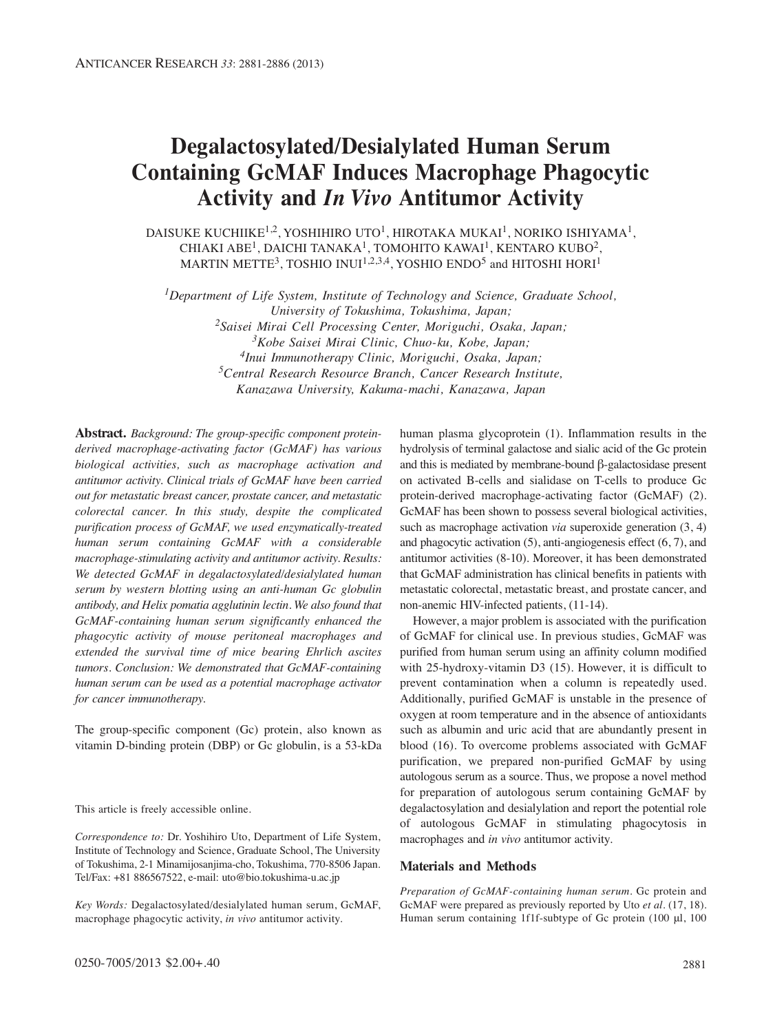# **Degalactosylated/Desialylated Human Serum Containing GcMAF Induces Macrophage Phagocytic Activity and** *In Vivo* **Antitumor Activity**

DAISUKE KUCHIIKE<sup>1,2</sup>, YOSHIHIRO UTO<sup>1</sup>, HIROTAKA MUKAI<sup>1</sup>, NORIKO ISHIYAMA<sup>1</sup>, CHIAKI ABE<sup>1</sup>, DAICHI TANAKA<sup>1</sup>, TOMOHITO KAWAI<sup>1</sup>, KENTARO KUBO<sup>2</sup>, MARTIN METTE<sup>3</sup>, TOSHIO INUI<sup>1,2,3,4</sup>, YOSHIO ENDO<sup>5</sup> and HITOSHI HORI<sup>1</sup>

*1Department of Life System, Institute of Technology and Science, Graduate School, University of Tokushima, Tokushima, Japan; 2Saisei Mirai Cell Processing Center, Moriguchi, Osaka, Japan; 3Kobe Saisei Mirai Clinic, Chuo-ku, Kobe, Japan; 4Inui Immunotherapy Clinic, Moriguchi, Osaka, Japan; 5Central Research Resource Branch, Cancer Research Institute, Kanazawa University, Kakuma-machi, Kanazawa, Japan*

**Abstract.** *Background: The group-specific component proteinderived macrophage-activating factor (GcMAF) has various biological activities, such as macrophage activation and antitumor activity. Clinical trials of GcMAF have been carried out for metastatic breast cancer, prostate cancer, and metastatic colorectal cancer. In this study, despite the complicated purification process of GcMAF, we used enzymatically-treated human serum containing GcMAF with a considerable macrophage-stimulating activity and antitumor activity. Results: We detected GcMAF in degalactosylated/desialylated human serum by western blotting using an anti-human Gc globulin antibody, and Helix pomatia agglutinin lectin. We also found that GcMAF-containing human serum significantly enhanced the phagocytic activity of mouse peritoneal macrophages and extended the survival time of mice bearing Ehrlich ascites tumors. Conclusion: We demonstrated that GcMAF-containing human serum can be used as a potential macrophage activator for cancer immunotherapy.*

The group-specific component (Gc) protein, also known as vitamin D-binding protein (DBP) or Gc globulin, is a 53-kDa

This article is freely accessible online.

*Correspondence to:* Dr. Yoshihiro Uto, Department of Life System, Institute of Technology and Science, Graduate School, The University of Tokushima, 2-1 Minamijosanjima-cho, Tokushima, 770-8506 Japan. Tel/Fax: +81 886567522, e-mail: uto@bio.tokushima-u.ac.jp

*Key Words:* Degalactosylated/desialylated human serum, GcMAF, macrophage phagocytic activity, *in vivo* antitumor activity.

human plasma glycoprotein (1). Inflammation results in the hydrolysis of terminal galactose and sialic acid of the Gc protein and this is mediated by membrane-bound β-galactosidase present on activated B-cells and sialidase on T-cells to produce Gc protein-derived macrophage-activating factor (GcMAF) (2). GcMAF has been shown to possess several biological activities, such as macrophage activation *via* superoxide generation (3, 4) and phagocytic activation (5), anti-angiogenesis effect (6, 7), and antitumor activities (8-10). Moreover, it has been demonstrated that GcMAF administration has clinical benefits in patients with metastatic colorectal, metastatic breast, and prostate cancer, and non-anemic HIV-infected patients, (11-14).

However, a major problem is associated with the purification of GcMAF for clinical use. In previous studies, GcMAF was purified from human serum using an affinity column modified with 25-hydroxy-vitamin D3 (15). However, it is difficult to prevent contamination when a column is repeatedly used. Additionally, purified GcMAF is unstable in the presence of oxygen at room temperature and in the absence of antioxidants such as albumin and uric acid that are abundantly present in blood (16). To overcome problems associated with GcMAF purification, we prepared non-purified GcMAF by using autologous serum as a source. Thus, we propose a novel method for preparation of autologous serum containing GcMAF by degalactosylation and desialylation and report the potential role of autologous GcMAF in stimulating phagocytosis in macrophages and *in vivo* antitumor activity.

## **Materials and Methods**

*Preparation of GcMAF-containing human serum.* Gc protein and GcMAF were prepared as previously reported by Uto *et al.* (17, 18). Human serum containing 1f1f-subtype of Gc protein (100 μl, 100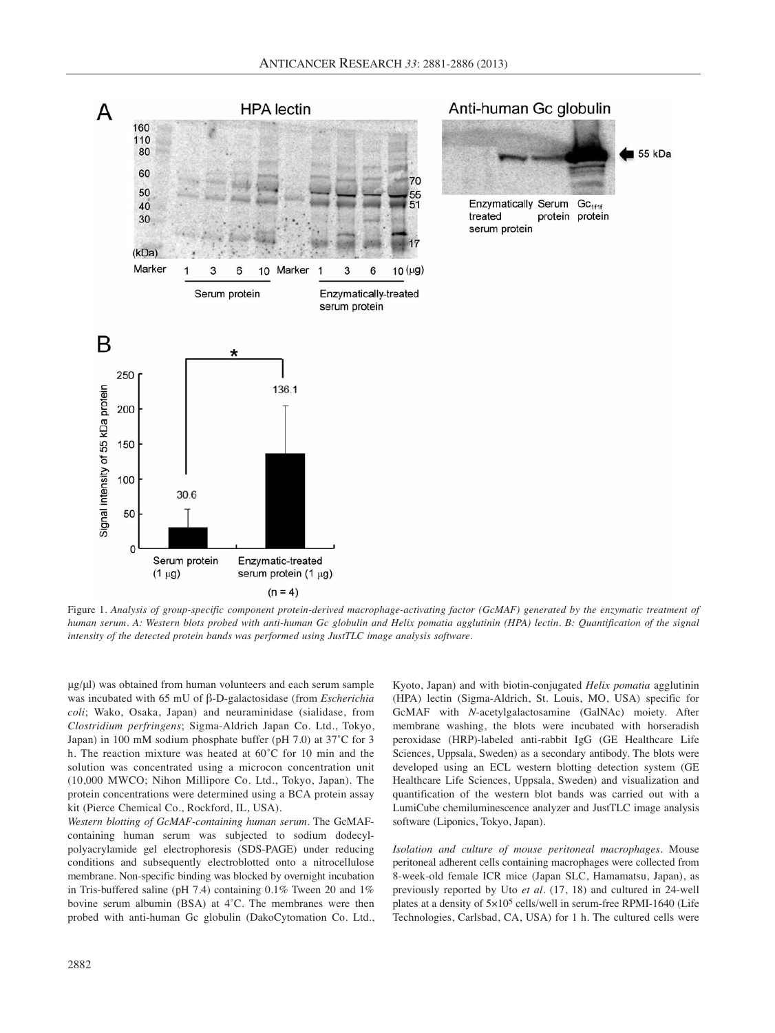

Figure 1. *Analysis of group-specific component protein-derived macrophage-activating factor (GcMAF) generated by the enzymatic treatment of human serum. A: Western blots probed with anti-human Gc globulin and Helix pomatia agglutinin (HPA) lectin. B: Quantification of the signal intensity of the detected protein bands was performed using JustTLC image analysis software.*

μg/μl) was obtained from human volunteers and each serum sample was incubated with 65 mU of β-D-galactosidase (from *Escherichia coli*; Wako, Osaka, Japan) and neuraminidase (sialidase, from *Clostridium perfringens*; Sigma-Aldrich Japan Co. Ltd., Tokyo, Japan) in 100 mM sodium phosphate buffer (pH 7.0) at 37˚C for 3 h. The reaction mixture was heated at 60˚C for 10 min and the solution was concentrated using a microcon concentration unit (10,000 MWCO; Nihon Millipore Co. Ltd., Tokyo, Japan). The protein concentrations were determined using a BCA protein assay kit (Pierce Chemical Co., Rockford, IL, USA).

*Western blotting of GcMAF-containing human serum*. The GcMAFcontaining human serum was subjected to sodium dodecylpolyacrylamide gel electrophoresis (SDS-PAGE) under reducing conditions and subsequently electroblotted onto a nitrocellulose membrane. Non-specific binding was blocked by overnight incubation in Tris-buffered saline (pH 7.4) containing 0.1% Tween 20 and 1% bovine serum albumin (BSA) at 4˚C. The membranes were then probed with anti-human Gc globulin (DakoCytomation Co. Ltd., Kyoto, Japan) and with biotin-conjugated *Helix pomatia* agglutinin (HPA) lectin (Sigma-Aldrich, St. Louis, MO, USA) specific for GcMAF with *N*-acetylgalactosamine (GalNAc) moiety. After membrane washing, the blots were incubated with horseradish peroxidase (HRP)-labeled anti-rabbit IgG (GE Healthcare Life Sciences, Uppsala, Sweden) as a secondary antibody. The blots were developed using an ECL western blotting detection system (GE Healthcare Life Sciences, Uppsala, Sweden) and visualization and quantification of the western blot bands was carried out with a LumiCube chemiluminescence analyzer and JustTLC image analysis software (Liponics, Tokyo, Japan).

*Isolation and culture of mouse peritoneal macrophages*. Mouse peritoneal adherent cells containing macrophages were collected from 8-week-old female ICR mice (Japan SLC, Hamamatsu, Japan), as previously reported by Uto *et al.* (17, 18) and cultured in 24-well plates at a density of 5×105 cells/well in serum-free RPMI-1640 (Life Technologies, Carlsbad, CA, USA) for 1 h. The cultured cells were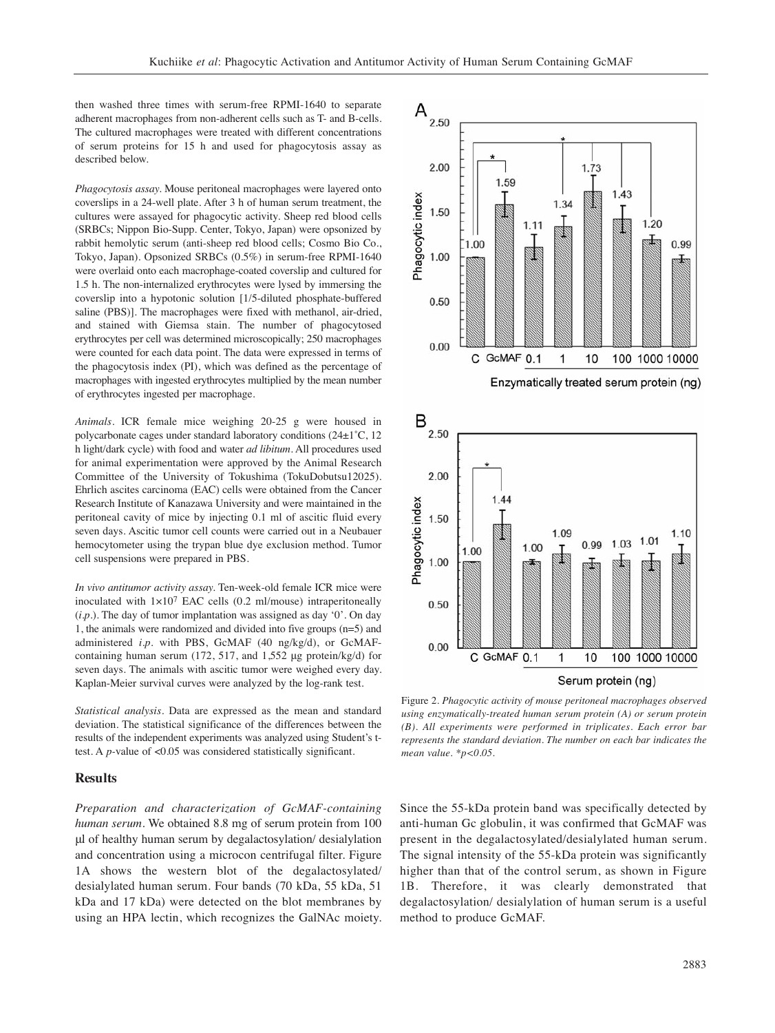then washed three times with serum-free RPMI-1640 to separate adherent macrophages from non-adherent cells such as T- and B-cells. The cultured macrophages were treated with different concentrations of serum proteins for 15 h and used for phagocytosis assay as described below.

*Phagocytosis assay.* Mouse peritoneal macrophages were layered onto coverslips in a 24-well plate. After 3 h of human serum treatment, the cultures were assayed for phagocytic activity. Sheep red blood cells (SRBCs; Nippon Bio-Supp. Center, Tokyo, Japan) were opsonized by rabbit hemolytic serum (anti-sheep red blood cells; Cosmo Bio Co., Tokyo, Japan). Opsonized SRBCs (0.5%) in serum-free RPMI-1640 were overlaid onto each macrophage-coated coverslip and cultured for 1.5 h. The non-internalized erythrocytes were lysed by immersing the coverslip into a hypotonic solution [1/5-diluted phosphate-buffered saline (PBS)]. The macrophages were fixed with methanol, air-dried, and stained with Giemsa stain. The number of phagocytosed erythrocytes per cell was determined microscopically; 250 macrophages were counted for each data point. The data were expressed in terms of the phagocytosis index (PI), which was defined as the percentage of macrophages with ingested erythrocytes multiplied by the mean number of erythrocytes ingested per macrophage.

*Animals.* ICR female mice weighing 20-25 g were housed in polycarbonate cages under standard laboratory conditions (24±1˚C, 12 h light/dark cycle) with food and water *ad libitum*. All procedures used for animal experimentation were approved by the Animal Research Committee of the University of Tokushima (TokuDobutsu12025). Ehrlich ascites carcinoma (EAC) cells were obtained from the Cancer Research Institute of Kanazawa University and were maintained in the peritoneal cavity of mice by injecting 0.1 ml of ascitic fluid every seven days. Ascitic tumor cell counts were carried out in a Neubauer hemocytometer using the trypan blue dye exclusion method. Tumor cell suspensions were prepared in PBS.

*In vivo antitumor activity assay.* Ten-week-old female ICR mice were inoculated with  $1 \times 10^7$  EAC cells (0.2 ml/mouse) intraperitoneally  $(i.p.)$ . The day of tumor implantation was assigned as day '0'. On day 1, the animals were randomized and divided into five groups (n=5) and administered *i.p.* with PBS, GcMAF (40 ng/kg/d), or GcMAFcontaining human serum (172, 517, and 1,552 μg protein/kg/d) for seven days. The animals with ascitic tumor were weighed every day. Kaplan-Meier survival curves were analyzed by the log-rank test.

*Statistical analysis.* Data are expressed as the mean and standard deviation. The statistical significance of the differences between the results of the independent experiments was analyzed using Student's ttest. A *p-*value of <0.05 was considered statistically significant.

## **Results**

*Preparation and characterization of GcMAF-containing human serum.* We obtained 8.8 mg of serum protein from 100 μl of healthy human serum by degalactosylation/ desialylation and concentration using a microcon centrifugal filter. Figure 1A shows the western blot of the degalactosylated/ desialylated human serum. Four bands (70 kDa, 55 kDa, 51 kDa and 17 kDa) were detected on the blot membranes by using an HPA lectin, which recognizes the GalNAc moiety.



Enzymatically treated serum protein (ng)



Figure 2. *Phagocytic activity of mouse peritoneal macrophages observed using enzymatically-treated human serum protein (A) or serum protein (B). All experiments were performed in triplicates. Each error bar represents the standard deviation. The number on each bar indicates the mean value. \*p<0.05.*

Since the 55-kDa protein band was specifically detected by anti-human Gc globulin, it was confirmed that GcMAF was present in the degalactosylated/desialylated human serum. The signal intensity of the 55-kDa protein was significantly higher than that of the control serum, as shown in Figure 1B. Therefore, it was clearly demonstrated that degalactosylation/ desialylation of human serum is a useful method to produce GcMAF.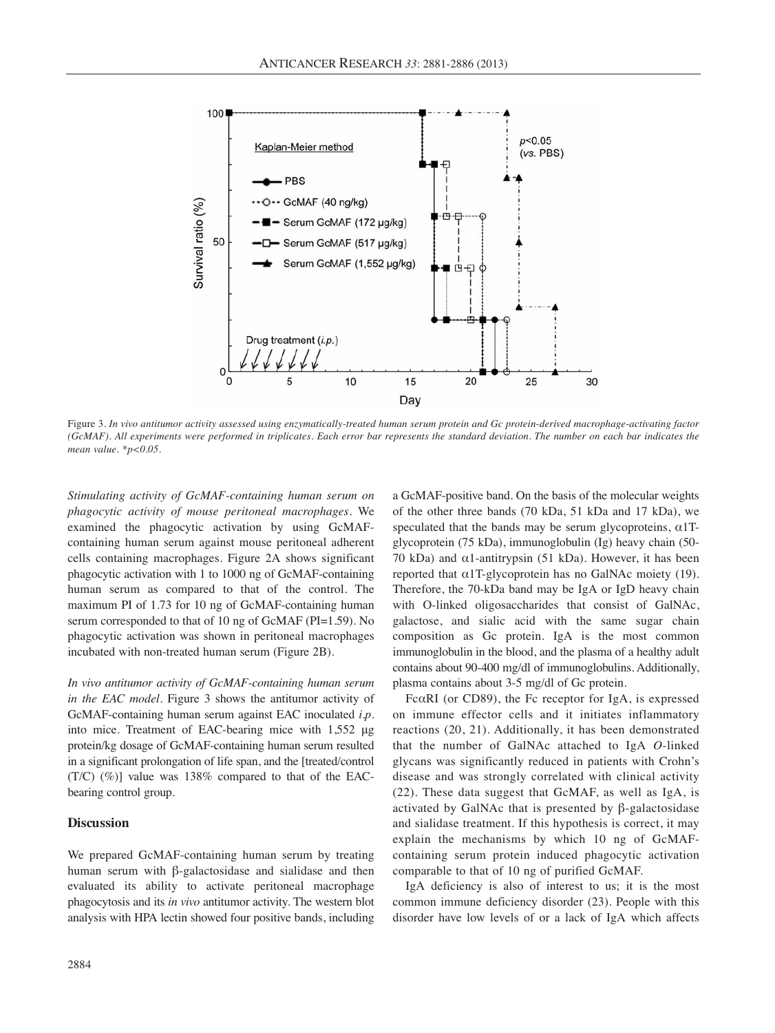

Figure 3. *In vivo antitumor activity assessed using enzymatically-treated human serum protein and Gc protein-derived macrophage-activating factor (GcMAF). All experiments were performed in triplicates. Each error bar represents the standard deviation. The number on each bar indicates the mean value. \*p<0.05.*

*Stimulating activity of GcMAF-containing human serum on phagocytic activity of mouse peritoneal macrophages.* We examined the phagocytic activation by using GcMAFcontaining human serum against mouse peritoneal adherent cells containing macrophages. Figure 2A shows significant phagocytic activation with 1 to 1000 ng of GcMAF-containing human serum as compared to that of the control. The maximum PI of 1.73 for 10 ng of GcMAF-containing human serum corresponded to that of 10 ng of GcMAF (PI=1.59). No phagocytic activation was shown in peritoneal macrophages incubated with non-treated human serum (Figure 2B).

*In vivo antitumor activity of GcMAF-containing human serum in the EAC model.* Figure 3 shows the antitumor activity of GcMAF-containing human serum against EAC inoculated *i.p.* into mice. Treatment of EAC-bearing mice with 1,552 μg protein/kg dosage of GcMAF-containing human serum resulted in a significant prolongation of life span, and the [treated/control (T/C) (%)] value was 138% compared to that of the EACbearing control group.

## **Discussion**

We prepared GcMAF-containing human serum by treating human serum with β-galactosidase and sialidase and then evaluated its ability to activate peritoneal macrophage phagocytosis and its *in vivo* antitumor activity. The western blot analysis with HPA lectin showed four positive bands, including a GcMAF-positive band. On the basis of the molecular weights of the other three bands (70 kDa, 51 kDa and 17 kDa), we speculated that the bands may be serum glycoproteins,  $\alpha$ 1Tglycoprotein (75 kDa), immunoglobulin (Ig) heavy chain (50- 70 kDa) and  $\alpha$ 1-antitrypsin (51 kDa). However, it has been reported that α1T-glycoprotein has no GalNAc moiety (19). Therefore, the 70-kDa band may be IgA or IgD heavy chain with O-linked oligosaccharides that consist of GalNAc, galactose, and sialic acid with the same sugar chain composition as Gc protein. IgA is the most common immunoglobulin in the blood, and the plasma of a healthy adult contains about 90-400 mg/dl of immunoglobulins. Additionally, plasma contains about 3-5 mg/dl of Gc protein.

FcαRI (or CD89), the Fc receptor for IgA, is expressed on immune effector cells and it initiates inflammatory reactions (20, 21). Additionally, it has been demonstrated that the number of GalNAc attached to IgA *O*-linked glycans was significantly reduced in patients with Crohn's disease and was strongly correlated with clinical activity (22). These data suggest that GcMAF, as well as IgA, is activated by GalNAc that is presented by  $\beta$ -galactosidase and sialidase treatment. If this hypothesis is correct, it may explain the mechanisms by which 10 ng of GcMAFcontaining serum protein induced phagocytic activation comparable to that of 10 ng of purified GcMAF.

IgA deficiency is also of interest to us; it is the most common immune deficiency disorder (23). People with this disorder have low levels of or a lack of IgA which affects